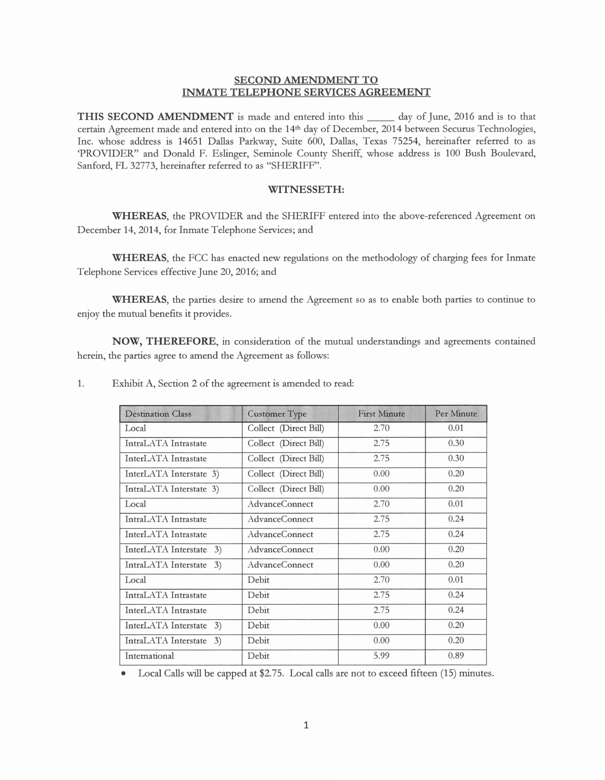## **SECOND AMENDMENT TO INMATE TELEPHONE SERVICES AGREEMENT**

**THIS SECOND AMENDMENT** is made and entered into this \_\_ day of June, 2016 and is to that certain Agreement made and entered into on the 14th day of December, 2014 between Securus Technologies, Inc. whose address is 14651 Dallas Parkway, Suite 600, Dallas, Texas 75254, hereinafter referred to as 'PROVIDER" and Donald F. Eslinger, Seminole County Sheriff, whose address is 100 Bush Boulevard, Sanford, FL 32773, hereinafter referred to as "SHERIFF".

## **WITNESSETH:**

**WHEREAS,** the PROVIDER and the SHERIFF entered into the above-referenced Agreement on December 14, 2014, for Inmate Telephone Services; and

WHEREAS, the FCC has enacted new regulations on the methodology of charging fees for Inmate Telephone Services effective June 20, 2016; and

**WHEREAS,** the parties desire to amend the Agreement so as to enable both parties to continue to enjoy the mutual benefits it provides.

**NOW, THEREFORE,** in consideration of the mutual understandings and agreements contained herein, the parties agree to amend the Agreement as follows:

| <b>Destination Class</b>   | <b>Customer Type</b>  | <b>First Minute</b> | Per Minute |
|----------------------------|-----------------------|---------------------|------------|
| Local                      | Collect (Direct Bill) | 2.70                | 0.01       |
| IntraLATA Intrastate       | Collect (Direct Bill) | 2.75                | 0.30       |
| InterLATA Intrastate       | Collect (Direct Bill) | 2.75                | 0.30       |
| InterLATA Interstate 3)    | Collect (Direct Bill) | 0.00                | 0.20       |
| IntraLATA Interstate 3)    | Collect (Direct Bill) | 0.00                | 0.20       |
| Local                      | AdvanceConnect        | 2.70                | 0.01       |
| IntraLATA Intrastate       | AdvanceConnect        | 2.75                | 0.24       |
| InterLATA Intrastate       | AdvanceConnect        | 2.75                | 0.24       |
| InterLATA Interstate<br>3) | AdvanceConnect        | 0.00                | 0.20       |
| IntraLATA Interstate<br>3) | AdvanceConnect        | 0.00                | 0.20       |
| Local                      | Debit                 | 2.70                | 0.01       |
| IntraLATA Intrastate       | Debit                 | 2.75                | 0.24       |
| InterLATA Intrastate       | Debit                 | 2.75                | 0.24       |
| InterLATA Interstate<br>3) | Debit                 | 0.00                | 0.20       |
| IntraLATA Interstate<br>3) | Debit                 | 0.00                | 0.20       |
| International              | Debit                 | 5.99                | 0.89       |

1. Exhibit A, Section 2 of the agreement is amended to read:

• Local Calls will be capped at \$2.75. Local calls are not to exceed fifteen (15) minutes.